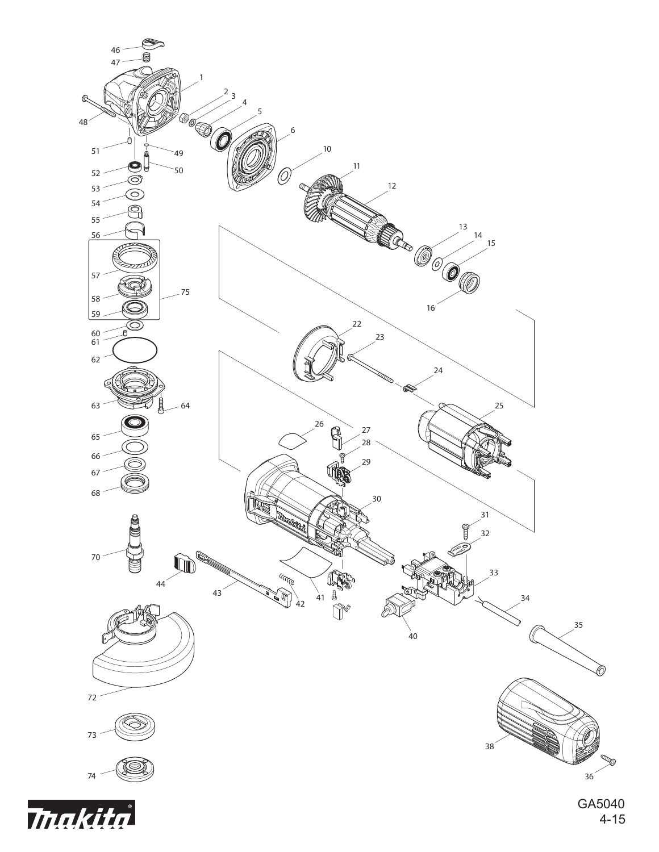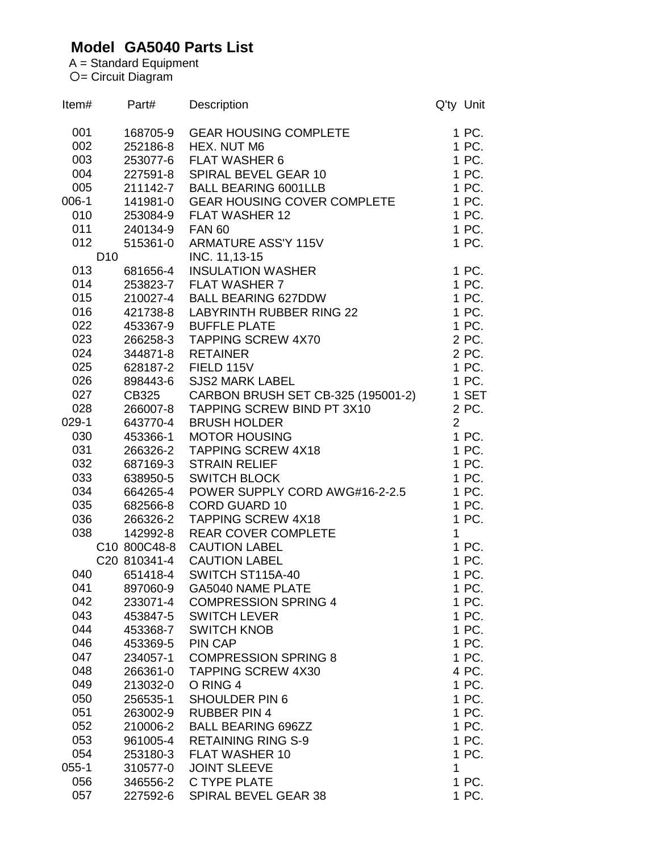## **Model GA5040 Parts List**

A = Standard Equipment = Circuit Diagram

| Item#     | Part#           |          | <b>Description</b>                 | Q'ty Unit      |       |
|-----------|-----------------|----------|------------------------------------|----------------|-------|
| 001       |                 | 168705-9 | <b>GEAR HOUSING COMPLETE</b>       |                | 1 PC. |
| 002       |                 | 252186-8 | HEX. NUT M6                        |                | 1 PC. |
| 003       |                 | 253077-6 | <b>FLAT WASHER 6</b>               |                | 1 PC. |
| 004       |                 | 227591-8 | SPIRAL BEVEL GEAR 10               |                | 1 PC. |
| 005       |                 |          | 211142-7 BALL BEARING 6001LLB      |                | 1 PC. |
| $006-1$   |                 | 141981-0 | <b>GEAR HOUSING COVER COMPLETE</b> |                | 1 PC. |
| 010       |                 | 253084-9 | <b>FLAT WASHER 12</b>              |                | 1 PC. |
| 011       |                 | 240134-9 | <b>FAN 60</b>                      |                | 1 PC. |
| 012       |                 | 515361-0 | <b>ARMATURE ASS'Y 115V</b>         |                | 1 PC. |
|           | D <sub>10</sub> |          | INC. 11,13-15                      |                |       |
| 013       |                 | 681656-4 | <b>INSULATION WASHER</b>           |                | 1 PC. |
| 014       |                 | 253823-7 | <b>FLAT WASHER 7</b>               |                | 1 PC. |
| 015       |                 | 210027-4 | <b>BALL BEARING 627DDW</b>         |                | 1 PC. |
| 016       |                 | 421738-8 | LABYRINTH RUBBER RING 22           |                | 1 PC. |
| 022       |                 | 453367-9 | <b>BUFFLE PLATE</b>                |                | 1 PC. |
| 023       |                 | 266258-3 | <b>TAPPING SCREW 4X70</b>          |                | 2 PC. |
| 024       |                 | 344871-8 | <b>RETAINER</b>                    |                | 2 PC. |
| 025       |                 | 628187-2 | FIELD 115V                         |                | 1 PC. |
| 026       |                 | 898443-6 | <b>SJS2 MARK LABEL</b>             |                | 1 PC. |
| 027       | CB325           |          | CARBON BRUSH SET CB-325 (195001-2) |                | 1 SET |
| 028       |                 | 266007-8 | TAPPING SCREW BIND PT 3X10         |                | 2 PC. |
| $029-1$   |                 | 643770-4 | <b>BRUSH HOLDER</b>                | $\overline{2}$ |       |
| 030       |                 | 453366-1 | <b>MOTOR HOUSING</b>               |                | 1 PC. |
| 031       |                 | 266326-2 | <b>TAPPING SCREW 4X18</b>          |                | 1 PC. |
| 032       |                 | 687169-3 | <b>STRAIN RELIEF</b>               |                | 1 PC. |
| 033       |                 | 638950-5 | <b>SWITCH BLOCK</b>                |                | 1 PC. |
| 034       |                 | 664265-4 | POWER SUPPLY CORD AWG#16-2-2.5     |                | 1 PC. |
| 035       |                 | 682566-8 | <b>CORD GUARD 10</b>               |                | 1 PC. |
| 036       |                 | 266326-2 | <b>TAPPING SCREW 4X18</b>          |                | 1 PC. |
| 038       |                 | 142992-8 | <b>REAR COVER COMPLETE</b>         | 1              |       |
|           | C10 800C48-8    |          | <b>CAUTION LABEL</b>               |                | 1 PC. |
|           |                 |          | C20 810341-4 CAUTION LABEL         |                | 1 PC. |
| 040       |                 | 651418-4 | SWITCH ST115A-40                   |                | 1 PC. |
| 041       |                 | 897060-9 | <b>GA5040 NAME PLATE</b>           |                | 1 PC. |
| 042       |                 | 233071-4 | <b>COMPRESSION SPRING 4</b>        |                | 1 PC. |
| 043       |                 | 453847-5 | <b>SWITCH LEVER</b>                |                | 1 PC. |
| 044       |                 | 453368-7 | <b>SWITCH KNOB</b>                 |                | 1 PC. |
| 046       |                 | 453369-5 | PIN CAP                            |                | 1 PC. |
| 047       |                 | 234057-1 | <b>COMPRESSION SPRING 8</b>        |                | 1 PC. |
| 048       |                 | 266361-0 | <b>TAPPING SCREW 4X30</b>          |                | 4 PC. |
| 049       |                 | 213032-0 | O RING 4                           |                | 1 PC. |
| 050       |                 | 256535-1 | <b>SHOULDER PIN 6</b>              |                | 1 PC. |
| 051       |                 | 263002-9 | <b>RUBBER PIN 4</b>                |                | 1 PC. |
| 052       |                 | 210006-2 | <b>BALL BEARING 696ZZ</b>          |                | 1 PC. |
| 053       |                 | 961005-4 | <b>RETAINING RING S-9</b>          |                | 1 PC. |
| 054       |                 | 253180-3 | <b>FLAT WASHER 10</b>              |                | 1 PC. |
| $055 - 1$ |                 | 310577-0 | <b>JOINT SLEEVE</b>                | 1              |       |
| 056       |                 | 346556-2 | C TYPE PLATE                       |                | 1 PC. |
| 057       |                 | 227592-6 | SPIRAL BEVEL GEAR 38               |                | 1 PC. |